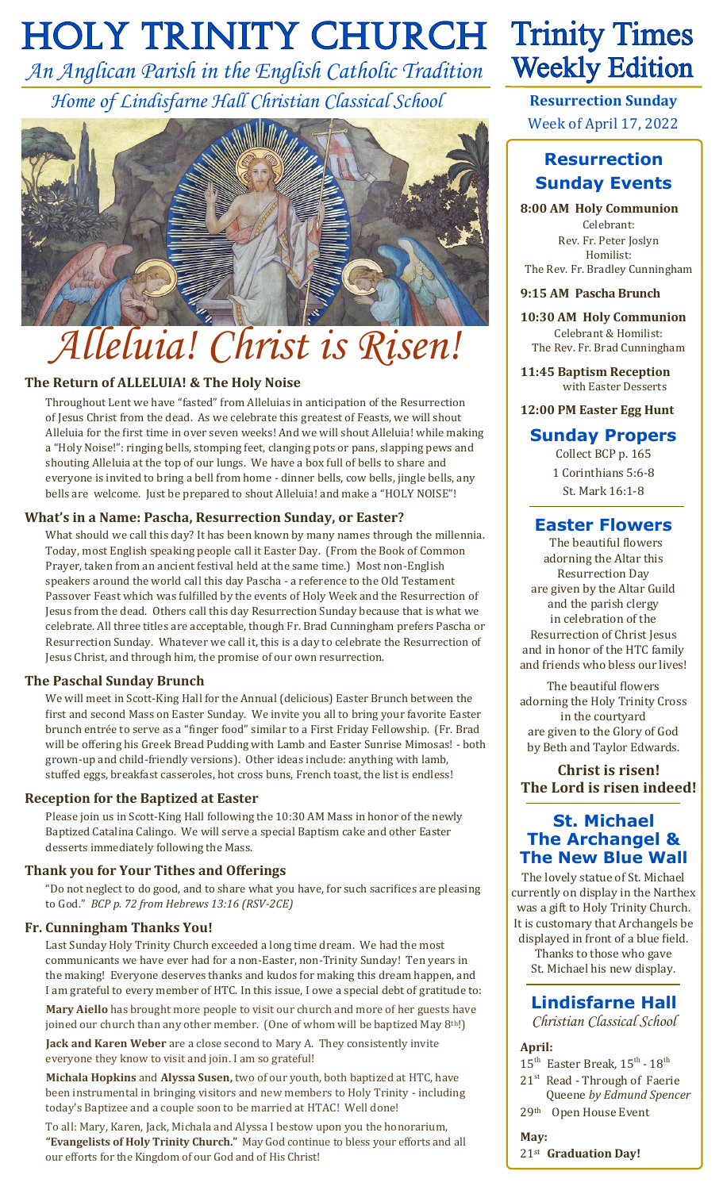# **HOLY TRINITY CHURCH Trinity Times**

*An Anglican Parish in the English Catholic Tradition Home of Lindisfarne Hall Christian Classical School*



# *Alleluia! Christ is Risen!*

#### **The Return of ALLELUIA! & The Holy Noise**

Throughout Lent we have "fasted" from Alleluias in anticipation of the Resurrection of Jesus Christ from the dead. As we celebrate this greatest of Feasts, we will shout Alleluia for the first time in over seven weeks! And we will shout Alleluia! while making a "Holy Noise!": ringing bells, stomping feet, clanging pots or pans, slapping pews and shouting Alleluia at the top of our lungs. We have a box full of bells to share and everyone is invited to bring a bell from home - dinner bells, cow bells, jingle bells, any bells are welcome. Just be prepared to shout Alleluia! and make a "HOLY NOISE"!

#### **What's in a Name: Pascha, Resurrection Sunday, or Easter?**

What should we call this day? It has been known by many names through the millennia. Today, most English speaking people call it Easter Day. (From the Book of Common Prayer, taken from an ancient festival held at the same time.) Most non-English speakers around the world call this day Pascha - a reference to the Old Testament Passover Feast which was fulfilled by the events of Holy Week and the Resurrection of Jesus from the dead. Others call this day Resurrection Sunday because that is what we celebrate. All three titles are acceptable, though Fr. Brad Cunningham prefers Pascha or Resurrection Sunday. Whatever we call it, this is a day to celebrate the Resurrection of Jesus Christ, and through him, the promise of our own resurrection.

#### **The Paschal Sunday Brunch**

We will meet in Scott-King Hall for the Annual (delicious) Easter Brunch between the first and second Mass on Easter Sunday. We invite you all to bring your favorite Easter brunch entrée to serve as a "finger food" similar to a First Friday Fellowship. (Fr. Brad will be offering his Greek Bread Pudding with Lamb and Easter Sunrise Mimosas! - both grown-up and child-friendly versions). Other ideas include: anything with lamb, stuffed eggs, breakfast casseroles, hot cross buns, French toast, the list is endless!

#### **Reception for the Baptized at Easter**

Please join us in Scott-King Hall following the 10:30 AM Mass in honor of the newly Baptized Catalina Calingo. We will serve a special Baptism cake and other Easter desserts immediately following the Mass.

#### **Thank you for Your Tithes and Offerings**

"Do not neglect to do good, and to share what you have, for such sacrifices are pleasing to God." *BCP p. 72 from Hebrews 13:16 (RSV-2CE)*

#### **Fr. Cunningham Thanks You!**

Last Sunday Holy Trinity Church exceeded a long time dream. We had the most communicants we have ever had for a non-Easter, non-Trinity Sunday! Ten years in the making! Everyone deserves thanks and kudos for making this dream happen, and I am grateful to every member of HTC. In this issue, I owe a special debt of gratitude to: **Mary Aiello** has brought more people to visit our church and more of her guests have joined our church than any other member. (One of whom will be baptized May 8<sup>th!)</sup> **Jack and Karen Weber** are a close second to Mary A. They consistently invite everyone they know to visit and join. I am so grateful!

**Michala Hopkins** and **Alyssa Susen,** two of our youth, both baptized at HTC, have been instrumental in bringing visitors and new members to Holy Trinity - including today's Baptizee and a couple soon to be married at HTAC! Well done!

To all: Mary, Karen, Jack, Michala and Alyssa I bestow upon you the honorarium, **"Evangelists of Holy Trinity Church."** May God continue to bless your efforts and all our efforts for the Kingdom of our God and of His Christ!

# **Weekly Edition**

**Resurrection Sunday** Week of April 17, 2022

### **Resurrection Sunday Events**

**8:00 AM Holy Communion** Celebrant: Rev. Fr. Peter Joslyn Homilist: The Rev. Fr. Bradley Cunningham

#### **9:15 AM Pascha Brunch**

**10:30 AM Holy Communion** Celebrant & Homilist: The Rev. Fr. Brad Cunningham

**11:45 Baptism Reception** with Easter Desserts

#### **12:00 PM Easter Egg Hunt**

#### **Sunday Propers**

Collect BCP p. 165 1 Corinthians 5:6-8 St. Mark 16:1-8

#### **Easter Flowers**

 The beautiful flowers adorning the Altar this Resurrection Day are given by the Altar Guild and the parish clergy in celebration of the Resurrection of Christ Jesus and in honor of the HTC family and friends who bless our lives!

The beautiful flowers adorning the Holy Trinity Cross in the courtyard are given to the Glory of God by Beth and Taylor Edwards.

**Christ is risen! The Lord is risen indeed!**

#### **St. Michael The Archangel & The New Blue Wall**

The lovely statue of St. Michael currently on display in the Narthex was a gift to Holy Trinity Church. It is customary that Archangels be displayed in front of a blue field.

Thanks to those who gave St. Michael his new display.

#### **Lindisfarne Hall**

*Christian Classical School*

#### **April:**

 $15^{\text{th}}$  Easter Break,  $15^{\text{th}}$  -  $18^{\text{th}}$ 21<sup>st</sup> Read - Through of Faerie Queene *by Edmund Spencer*

29th Open House Event **May:**

21st **Graduation Day!**